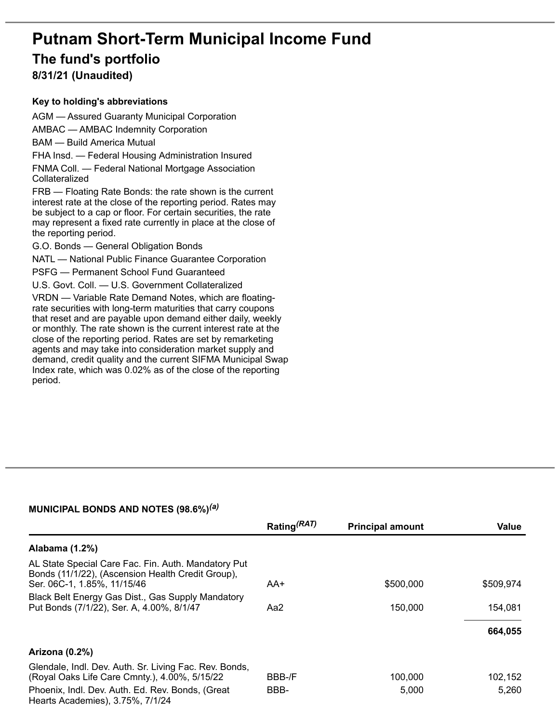# **Putnam Short-Term Municipal Income Fund**

## **The fund's portfolio**

**8/31/21 (Unaudited)**

#### **Key to holding's abbreviations**

AGM — Assured Guaranty Municipal Corporation AMBAC — AMBAC Indemnity Corporation

BAM — Build America Mutual

FHA Insd. — Federal Housing Administration Insured FNMA Coll. — Federal National Mortgage Association Collateralized

FRB — Floating Rate Bonds: the rate shown is the current interest rate at the close of the reporting period. Rates may be subject to a cap or floor. For certain securities, the rate may represent a fixed rate currently in place at the close of the reporting period.

G.O. Bonds — General Obligation Bonds

NATL — National Public Finance Guarantee Corporation

PSFG — Permanent School Fund Guaranteed

U.S. Govt. Coll. — U.S. Government Collateralized

VRDN — Variable Rate Demand Notes, which are floatingrate securities with long-term maturities that carry coupons that reset and are payable upon demand either daily, weekly or monthly. The rate shown is the current interest rate at the close of the reporting period. Rates are set by remarketing agents and may take into consideration market supply and demand, credit quality and the current SIFMA Municipal Swap Index rate, which was 0.02% as of the close of the reporting period.

#### **MUNICIPAL BONDS AND NOTES (98.6%)** *(a)*

|                                                                                                                                         | Rating <sup>(RAT)</sup> | <b>Principal amount</b> | Value     |
|-----------------------------------------------------------------------------------------------------------------------------------------|-------------------------|-------------------------|-----------|
| Alabama (1.2%)                                                                                                                          |                         |                         |           |
| AL State Special Care Fac. Fin. Auth. Mandatory Put<br>Bonds (11/1/22), (Ascension Health Credit Group),<br>Ser. 06C-1, 1.85%, 11/15/46 | AA+                     | \$500,000               | \$509,974 |
| Black Belt Energy Gas Dist., Gas Supply Mandatory<br>Put Bonds (7/1/22), Ser. A, 4.00%, 8/1/47                                          | Aa2                     | 150,000                 | 154,081   |
|                                                                                                                                         |                         |                         | 664,055   |
| Arizona (0.2%)                                                                                                                          |                         |                         |           |
| Glendale, Indl. Dev. Auth. Sr. Living Fac. Rev. Bonds,<br>(Royal Oaks Life Care Cmnty.), 4.00%, 5/15/22                                 | BBB-/F                  | 100,000                 | 102,152   |
| Phoenix, Indl. Dev. Auth. Ed. Rev. Bonds, (Great<br>Hearts Academies), 3.75%, 7/1/24                                                    | BBB-                    | 5,000                   | 5,260     |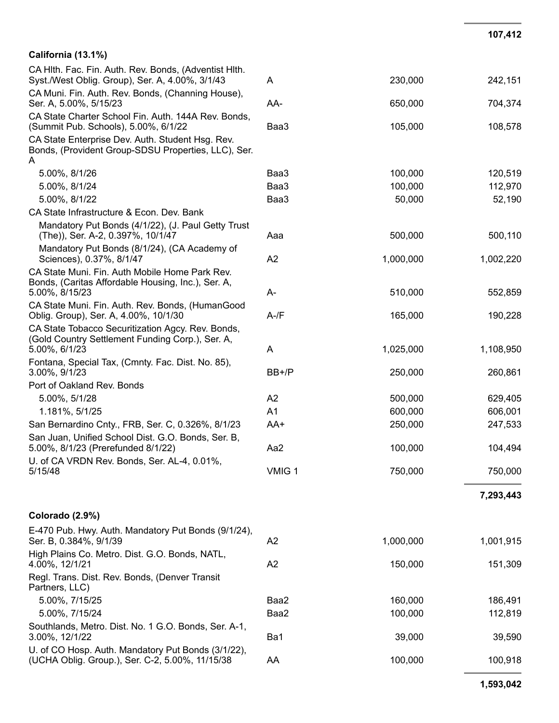| California (13.1%)                                                                                                     |                |           |           |
|------------------------------------------------------------------------------------------------------------------------|----------------|-----------|-----------|
| CA Hlth. Fac. Fin. Auth. Rev. Bonds, (Adventist Hlth.<br>Syst./West Oblig. Group), Ser. A, 4.00%, 3/1/43               | A              | 230,000   | 242,151   |
| CA Muni. Fin. Auth. Rev. Bonds, (Channing House),<br>Ser. A, 5.00%, 5/15/23                                            | AA-            | 650,000   | 704,374   |
| CA State Charter School Fin. Auth. 144A Rev. Bonds,<br>(Summit Pub. Schools), 5.00%, 6/1/22                            | Baa3           | 105,000   | 108,578   |
| CA State Enterprise Dev. Auth. Student Hsg. Rev.<br>Bonds, (Provident Group-SDSU Properties, LLC), Ser.<br>A           |                |           |           |
| 5.00%, 8/1/26                                                                                                          | Baa3           | 100,000   | 120,519   |
| 5.00%, 8/1/24                                                                                                          | Baa3           | 100,000   | 112,970   |
| 5.00%, 8/1/22                                                                                                          | Baa3           | 50,000    | 52,190    |
| CA State Infrastructure & Econ. Dev. Bank                                                                              |                |           |           |
| Mandatory Put Bonds (4/1/22), (J. Paul Getty Trust<br>(The)), Ser. A-2, 0.397%, 10/1/47                                | Aaa            | 500,000   | 500,110   |
| Mandatory Put Bonds (8/1/24), (CA Academy of<br>Sciences), 0.37%, 8/1/47                                               | A2             | 1,000,000 | 1,002,220 |
| CA State Muni. Fin. Auth Mobile Home Park Rev.<br>Bonds, (Caritas Affordable Housing, Inc.), Ser. A,<br>5.00%, 8/15/23 | A-             | 510,000   | 552,859   |
| CA State Muni. Fin. Auth. Rev. Bonds, (HumanGood<br>Oblig. Group), Ser. A, 4.00%, 10/1/30                              | $A$ -/ $F$     | 165,000   | 190,228   |
| CA State Tobacco Securitization Agcy. Rev. Bonds,<br>(Gold Country Settlement Funding Corp.), Ser. A,<br>5.00%, 6/1/23 | A              | 1,025,000 | 1,108,950 |
| Fontana, Special Tax, (Cmnty. Fac. Dist. No. 85),<br>3.00%, 9/1/23                                                     | $BB+/P$        | 250,000   | 260,861   |
| Port of Oakland Rev. Bonds                                                                                             |                |           |           |
| 5.00%, 5/1/28                                                                                                          | A2             | 500,000   | 629,405   |
| 1.181%, 5/1/25                                                                                                         | A <sub>1</sub> | 600,000   | 606,001   |
| San Bernardino Cnty., FRB, Ser. C, 0.326%, 8/1/23                                                                      | AA+            | 250,000   | 247,533   |
| San Juan, Unified School Dist. G.O. Bonds, Ser. B,<br>5.00%, 8/1/23 (Prerefunded 8/1/22)                               | Aa2            | 100,000   | 104,494   |

#### **7 , 2 9 3 , 4 4 3**

7 5 0,0 0 0

7 5 0,0 0 0

**1 0 7 , 4 1 2**

| E-470 Pub. Hwy. Auth. Mandatory Put Bonds (9/1/24),<br>Ser. B, 0.384%, 9/1/39                         | A2   | 1,000,000 | 1,001,915 |
|-------------------------------------------------------------------------------------------------------|------|-----------|-----------|
| High Plains Co. Metro. Dist. G.O. Bonds, NATL,<br>4.00%, 12/1/21                                      | A2   | 150,000   | 151,309   |
| Regl. Trans. Dist. Rev. Bonds, (Denver Transit<br>Partners, LLC)                                      |      |           |           |
| 5.00%, 7/15/25                                                                                        | Baa2 | 160,000   | 186,491   |
| 5.00%, 7/15/24                                                                                        | Baa2 | 100,000   | 112,819   |
| Southlands, Metro. Dist. No. 1 G.O. Bonds, Ser. A-1,<br>3.00%, 12/1/22                                | Ba1  | 39,000    | 39,590    |
| U. of CO Hosp. Auth. Mandatory Put Bonds (3/1/22),<br>(UCHA Oblig. Group.), Ser. C-2, 5.00%, 11/15/38 | AA   | 100,000   | 100,918   |

V MIG 1

U. of CA VRDN Rev. Bonds, Ser. AL-4, 0.01%,

5/15/48

Colorado (2.9%)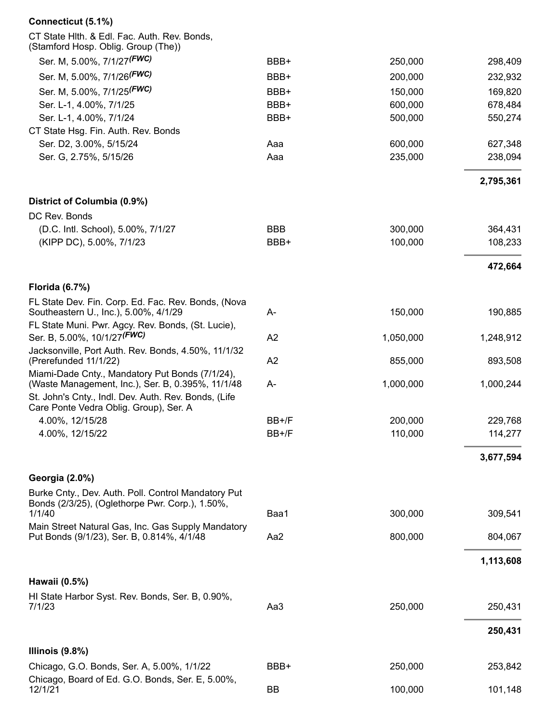| Connecticut (5.1%)                                                                                                              |                    |                    |                    |
|---------------------------------------------------------------------------------------------------------------------------------|--------------------|--------------------|--------------------|
| CT State Hith. & Edl. Fac. Auth. Rev. Bonds,<br>(Stamford Hosp. Oblig. Group (The))                                             |                    |                    |                    |
| Ser. M, 5.00%, 7/1/27 <sup>(FWC)</sup>                                                                                          | BBB+               | 250,000            | 298,409            |
| Ser. M, 5.00%, 7/1/26 <sup>(FWC)</sup>                                                                                          | BBB+               | 200,000            | 232,932            |
| Ser. M, 5.00%, 7/1/25 <sup>(FWC)</sup>                                                                                          | BBB+               | 150,000            | 169,820            |
| Ser. L-1, 4.00%, 7/1/25                                                                                                         | BBB+               | 600,000            | 678,484            |
| Ser. L-1, 4.00%, 7/1/24                                                                                                         | BBB+               | 500,000            | 550,274            |
| CT State Hsg. Fin. Auth. Rev. Bonds                                                                                             |                    |                    |                    |
| Ser. D2, 3.00%, 5/15/24                                                                                                         | Aaa                | 600,000            | 627,348            |
| Ser. G, 2.75%, 5/15/26                                                                                                          | Aaa                | 235,000            | 238,094            |
|                                                                                                                                 |                    |                    | 2,795,361          |
| District of Columbia (0.9%)                                                                                                     |                    |                    |                    |
| DC Rev. Bonds                                                                                                                   |                    |                    |                    |
| (D.C. Intl. School), 5.00%, 7/1/27<br>(KIPP DC), 5.00%, 7/1/23                                                                  | <b>BBB</b><br>BBB+ | 300,000<br>100,000 | 364,431<br>108,233 |
|                                                                                                                                 |                    |                    |                    |
|                                                                                                                                 |                    |                    | 472,664            |
| <b>Florida (6.7%)</b>                                                                                                           |                    |                    |                    |
| FL State Dev. Fin. Corp. Ed. Fac. Rev. Bonds, (Nova<br>Southeastern U., Inc.), 5.00%, 4/1/29                                    | A-                 | 150,000            | 190,885            |
| FL State Muni. Pwr. Agcy. Rev. Bonds, (St. Lucie),<br>Ser. B, 5.00%, 10/1/27 <sup>(FWC)</sup>                                   | A2                 | 1,050,000          | 1,248,912          |
| Jacksonville, Port Auth. Rev. Bonds, 4.50%, 11/1/32<br>(Prerefunded 11/1/22)<br>Miami-Dade Cnty., Mandatory Put Bonds (7/1/24), | A2                 | 855,000            | 893,508            |
| (Waste Management, Inc.), Ser. B, 0.395%, 11/1/48<br>St. John's Cnty., Indl. Dev. Auth. Rev. Bonds, (Life                       | A-                 | 1,000,000          | 1,000,244          |
| Care Ponte Vedra Oblig. Group), Ser. A                                                                                          | $BB+/F$            | 200.000            |                    |
| 4.00%, 12/15/28<br>4.00%, 12/15/22                                                                                              | BB+/F              | 110,000            | 229,768<br>114,277 |
|                                                                                                                                 |                    |                    |                    |
|                                                                                                                                 |                    |                    | 3,677,594          |
| Georgia (2.0%)                                                                                                                  |                    |                    |                    |
| Burke Cnty., Dev. Auth. Poll. Control Mandatory Put<br>Bonds (2/3/25), (Oglethorpe Pwr. Corp.), 1.50%,<br>1/1/40                | Baa1               | 300,000            | 309,541            |
| Main Street Natural Gas, Inc. Gas Supply Mandatory                                                                              |                    |                    |                    |
| Put Bonds (9/1/23), Ser. B, 0.814%, 4/1/48                                                                                      | Aa2                | 800,000            | 804,067            |
|                                                                                                                                 |                    |                    | 1,113,608          |
| Hawaii (0.5%)                                                                                                                   |                    |                    |                    |
| HI State Harbor Syst. Rev. Bonds, Ser. B, 0.90%,<br>7/1/23                                                                      | Aa3                | 250,000            | 250,431            |
|                                                                                                                                 |                    |                    | 250,431            |
| Illinois $(9.8%)$                                                                                                               |                    |                    |                    |
| Chicago, G.O. Bonds, Ser. A, 5.00%, 1/1/22                                                                                      | BBB+               | 250,000            | 253,842            |
| Chicago, Board of Ed. G.O. Bonds, Ser. E, 5.00%,<br>12/1/21                                                                     | <b>BB</b>          | 100,000            | 101,148            |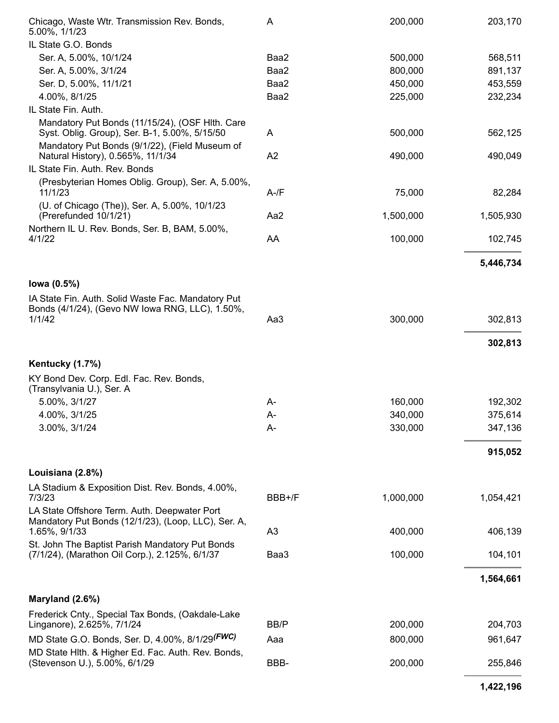| Chicago, Waste Wtr. Transmission Rev. Bonds,<br>5.00%, 1/1/23                                                        | A              | 200,000   | 203,170   |
|----------------------------------------------------------------------------------------------------------------------|----------------|-----------|-----------|
| IL State G.O. Bonds                                                                                                  |                |           |           |
| Ser. A, 5.00%, 10/1/24                                                                                               | Baa2           | 500,000   | 568,511   |
| Ser. A, 5.00%, 3/1/24                                                                                                | Baa2           | 800,000   | 891,137   |
| Ser. D, 5.00%, 11/1/21                                                                                               | Baa2           | 450,000   | 453,559   |
| 4.00%, 8/1/25                                                                                                        | Baa2           | 225,000   | 232,234   |
| IL State Fin. Auth.                                                                                                  |                |           |           |
| Mandatory Put Bonds (11/15/24), (OSF Hlth. Care<br>Syst. Oblig. Group), Ser. B-1, 5.00%, 5/15/50                     | A              | 500,000   | 562,125   |
| Mandatory Put Bonds (9/1/22), (Field Museum of<br>Natural History), 0.565%, 11/1/34                                  | A2             | 490,000   | 490,049   |
| IL State Fin. Auth. Rev. Bonds                                                                                       |                |           |           |
| (Presbyterian Homes Oblig. Group), Ser. A, 5.00%,<br>11/1/23                                                         | $A-fF$         | 75,000    | 82,284    |
| (U. of Chicago (The)), Ser. A, 5.00%, 10/1/23<br>(Prerefunded 10/1/21)                                               | Aa2            | 1,500,000 | 1,505,930 |
| Northern IL U. Rev. Bonds, Ser. B, BAM, 5.00%,<br>4/1/22                                                             | AA             | 100,000   | 102,745   |
|                                                                                                                      |                |           | 5,446,734 |
| lowa (0.5%)                                                                                                          |                |           |           |
| IA State Fin. Auth. Solid Waste Fac. Mandatory Put<br>Bonds (4/1/24), (Gevo NW Iowa RNG, LLC), 1.50%,<br>1/1/42      | Aa3            | 300,000   | 302,813   |
|                                                                                                                      |                |           | 302,813   |
| Kentucky (1.7%)                                                                                                      |                |           |           |
| KY Bond Dev. Corp. Edl. Fac. Rev. Bonds,<br>(Transylvania U.), Ser. A                                                |                |           |           |
| 5.00%, 3/1/27                                                                                                        | A-             | 160,000   | 192,302   |
| 4.00%, 3/1/25                                                                                                        | $A -$          | 340,000   | 375,614   |
| 3.00%, 3/1/24                                                                                                        | A-             | 330,000   | 347,136   |
|                                                                                                                      |                |           | 915,052   |
| Louisiana (2.8%)                                                                                                     |                |           |           |
| LA Stadium & Exposition Dist. Rev. Bonds, 4.00%,<br>7/3/23                                                           | BBB+/F         | 1,000,000 | 1,054,421 |
| LA State Offshore Term. Auth. Deepwater Port<br>Mandatory Put Bonds (12/1/23), (Loop, LLC), Ser. A,<br>1.65%, 9/1/33 | A <sub>3</sub> | 400,000   | 406,139   |
| St. John The Baptist Parish Mandatory Put Bonds<br>(7/1/24), (Marathon Oil Corp.), 2.125%, 6/1/37                    | Baa3           | 100,000   | 104,101   |
|                                                                                                                      |                |           | 1,564,661 |
| Maryland (2.6%)                                                                                                      |                |           |           |
| Frederick Cnty., Special Tax Bonds, (Oakdale-Lake<br>Linganore), 2.625%, 7/1/24                                      | BB/P           | 200,000   | 204,703   |
| MD State G.O. Bonds, Ser. D, 4.00%, 8/1/29 <sup>(FWC)</sup>                                                          | Aaa            | 800,000   | 961,647   |
| MD State Hith. & Higher Ed. Fac. Auth. Rev. Bonds,<br>(Stevenson U.), 5.00%, 6/1/29                                  | BBB-           | 200,000   | 255,846   |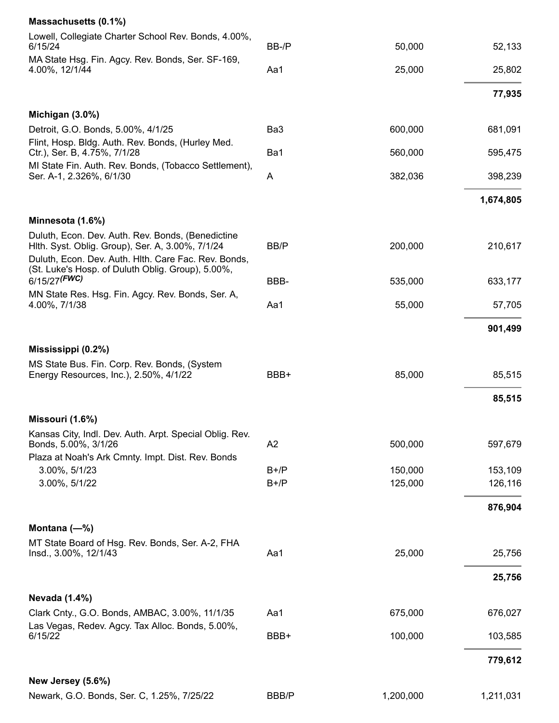| Lowell, Collegiate Charter School Rev. Bonds, 4.00%,<br>6/15/24                                                                                                                                                    | BB-/P          | 50,000    | 52,133    |
|--------------------------------------------------------------------------------------------------------------------------------------------------------------------------------------------------------------------|----------------|-----------|-----------|
| MA State Hsg. Fin. Agcy. Rev. Bonds, Ser. SF-169,<br>4.00%, 12/1/44                                                                                                                                                | Aa1            | 25,000    | 25,802    |
|                                                                                                                                                                                                                    |                |           | 77,935    |
| Michigan (3.0%)                                                                                                                                                                                                    |                |           |           |
| Detroit, G.O. Bonds, 5.00%, 4/1/25<br>Flint, Hosp. Bldg. Auth. Rev. Bonds, (Hurley Med.                                                                                                                            | Ba3            | 600,000   | 681,091   |
| Ctr.), Ser. B, 4.75%, 7/1/28                                                                                                                                                                                       | Ba1            | 560,000   | 595,475   |
| MI State Fin. Auth. Rev. Bonds, (Tobacco Settlement),<br>Ser. A-1, 2.326%, 6/1/30                                                                                                                                  | A              | 382,036   | 398,239   |
|                                                                                                                                                                                                                    |                |           | 1,674,805 |
| Minnesota (1.6%)                                                                                                                                                                                                   |                |           |           |
| Duluth, Econ. Dev. Auth. Rev. Bonds, (Benedictine<br>Hith. Syst. Oblig. Group), Ser. A, 3.00%, 7/1/24<br>Duluth, Econ. Dev. Auth. Hith. Care Fac. Rev. Bonds,<br>(St. Luke's Hosp. of Duluth Oblig. Group), 5.00%, | BB/P           | 200,000   | 210,617   |
| 6/15/27 <sup>(FWC)</sup>                                                                                                                                                                                           | BBB-           | 535,000   | 633,177   |
| MN State Res. Hsg. Fin. Agcy. Rev. Bonds, Ser. A,<br>4.00%, 7/1/38                                                                                                                                                 | Aa1            | 55,000    | 57,705    |
|                                                                                                                                                                                                                    |                |           | 901,499   |
| Mississippi (0.2%)                                                                                                                                                                                                 |                |           |           |
| MS State Bus. Fin. Corp. Rev. Bonds, (System<br>Energy Resources, Inc.), 2.50%, 4/1/22                                                                                                                             | BBB+           | 85,000    | 85,515    |
|                                                                                                                                                                                                                    |                |           | 85,515    |
|                                                                                                                                                                                                                    |                |           |           |
| Missouri (1.6%)<br>Kansas City, Indl. Dev. Auth. Arpt. Special Oblig. Rev.                                                                                                                                         |                |           |           |
| Bonds, 5.00%, 3/1/26                                                                                                                                                                                               | A <sub>2</sub> | 500,000   | 597,679   |
| Plaza at Noah's Ark Cmnty. Impt. Dist. Rev. Bonds<br>3.00%, 5/1/23                                                                                                                                                 | $B+/P$         | 150,000   | 153,109   |
| 3.00%, 5/1/22                                                                                                                                                                                                      | $B+/P$         | 125,000   | 126,116   |
|                                                                                                                                                                                                                    |                |           | 876,904   |
| Montana $(-\%)$                                                                                                                                                                                                    |                |           |           |
| MT State Board of Hsg. Rev. Bonds, Ser. A-2, FHA<br>Insd., 3.00%, 12/1/43                                                                                                                                          | Aa1            | 25,000    | 25,756    |
|                                                                                                                                                                                                                    |                |           | 25,756    |
| <b>Nevada (1.4%)</b>                                                                                                                                                                                               |                |           |           |
| Clark Cnty., G.O. Bonds, AMBAC, 3.00%, 11/1/35<br>Las Vegas, Redev. Agcy. Tax Alloc. Bonds, 5.00%,                                                                                                                 | Aa1            | 675,000   | 676,027   |
| 6/15/22                                                                                                                                                                                                            | BBB+           | 100,000   | 103,585   |
|                                                                                                                                                                                                                    |                |           | 779,612   |
| New Jersey (5.6%)                                                                                                                                                                                                  |                |           |           |
| Newark, G.O. Bonds, Ser. C, 1.25%, 7/25/22                                                                                                                                                                         | <b>BBB/P</b>   | 1,200,000 | 1,211,031 |

**Massachusetts (0.1%)**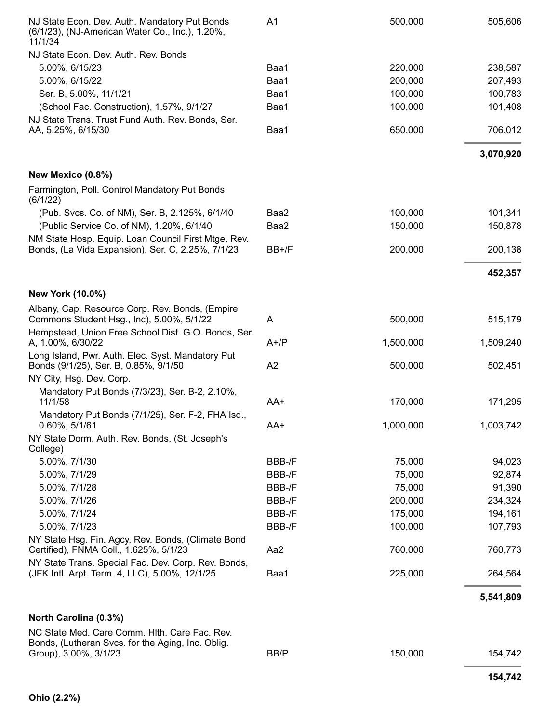| NJ State Econ. Dev. Auth. Mandatory Put Bonds<br>(6/1/23), (NJ-American Water Co., Inc.), 1.20%,<br>11/1/34 | A <sub>1</sub> | 500,000   | 505,606   |
|-------------------------------------------------------------------------------------------------------------|----------------|-----------|-----------|
| NJ State Econ. Dev. Auth. Rev. Bonds                                                                        |                |           |           |
| 5.00%, 6/15/23                                                                                              | Baa1           | 220,000   | 238,587   |
| 5.00%, 6/15/22                                                                                              | Baa1           | 200,000   | 207,493   |
| Ser. B, 5.00%, 11/1/21                                                                                      | Baa1           | 100,000   | 100,783   |
| (School Fac. Construction), 1.57%, 9/1/27                                                                   | Baa1           | 100,000   | 101,408   |
| NJ State Trans. Trust Fund Auth. Rev. Bonds, Ser.                                                           |                |           |           |
| AA, 5.25%, 6/15/30                                                                                          | Baa1           | 650,000   | 706,012   |
|                                                                                                             |                |           | 3,070,920 |
| New Mexico (0.8%)                                                                                           |                |           |           |
| Farmington, Poll. Control Mandatory Put Bonds<br>(6/1/22)                                                   |                |           |           |
| (Pub. Svcs. Co. of NM), Ser. B, 2.125%, 6/1/40                                                              | Baa2           | 100,000   | 101,341   |
| (Public Service Co. of NM), 1.20%, 6/1/40                                                                   | Baa2           | 150,000   | 150,878   |
| NM State Hosp. Equip. Loan Council First Mtge. Rev.<br>Bonds, (La Vida Expansion), Ser. C, 2.25%, 7/1/23    | BB+/F          | 200,000   | 200,138   |
|                                                                                                             |                |           | 452,357   |
| New York (10.0%)                                                                                            |                |           |           |
| Albany, Cap. Resource Corp. Rev. Bonds, (Empire<br>Commons Student Hsg., Inc), 5.00%, 5/1/22                | A              | 500,000   | 515,179   |
| Hempstead, Union Free School Dist. G.O. Bonds, Ser.                                                         |                |           |           |
| A, 1.00%, 6/30/22                                                                                           | $A+/P$         | 1,500,000 | 1,509,240 |
| Long Island, Pwr. Auth. Elec. Syst. Mandatory Put<br>Bonds (9/1/25), Ser. B, 0.85%, 9/1/50                  | A2             | 500,000   | 502,451   |
| NY City, Hsg. Dev. Corp.                                                                                    |                |           |           |
| Mandatory Put Bonds (7/3/23), Ser. B-2, 2.10%,<br>11/1/58                                                   | AA+            | 170,000   | 171,295   |
| Mandatory Put Bonds (7/1/25), Ser. F-2, FHA Isd.,<br>$0.60\%$ , 5/1/61                                      | AA+            | 1,000,000 | 1,003,742 |
| NY State Dorm. Auth. Rev. Bonds, (St. Joseph's<br>College)                                                  |                |           |           |
| 5.00%, 7/1/30                                                                                               | BBB-/F         | 75,000    | 94,023    |
| 5.00%, 7/1/29                                                                                               | BBB-/F         | 75,000    | 92,874    |
| 5.00%, 7/1/28                                                                                               | BBB-/F         | 75,000    | 91,390    |
| 5.00%, 7/1/26                                                                                               | BBB-/F         | 200,000   | 234,324   |
| 5.00%, 7/1/24                                                                                               | BBB-/F         | 175,000   | 194,161   |
| 5.00%, 7/1/23                                                                                               | BBB-/F         | 100,000   | 107,793   |
| NY State Hsg. Fin. Agcy. Rev. Bonds, (Climate Bond<br>Certified), FNMA Coll., 1.625%, 5/1/23                | Aa2            | 760,000   | 760,773   |
| NY State Trans. Special Fac. Dev. Corp. Rev. Bonds,                                                         |                |           |           |
| (JFK Intl. Arpt. Term. 4, LLC), 5.00%, 12/1/25                                                              | Baa1           | 225,000   | 264,564   |
|                                                                                                             |                |           | 5,541,809 |
| North Carolina (0.3%)                                                                                       |                |           |           |
| NC State Med. Care Comm. Hith. Care Fac. Rev.                                                               |                |           |           |
| Bonds, (Lutheran Svcs. for the Aging, Inc. Oblig.<br>Group), 3.00%, 3/1/23                                  | BB/P           | 150,000   | 154,742   |
|                                                                                                             |                |           | 154,742   |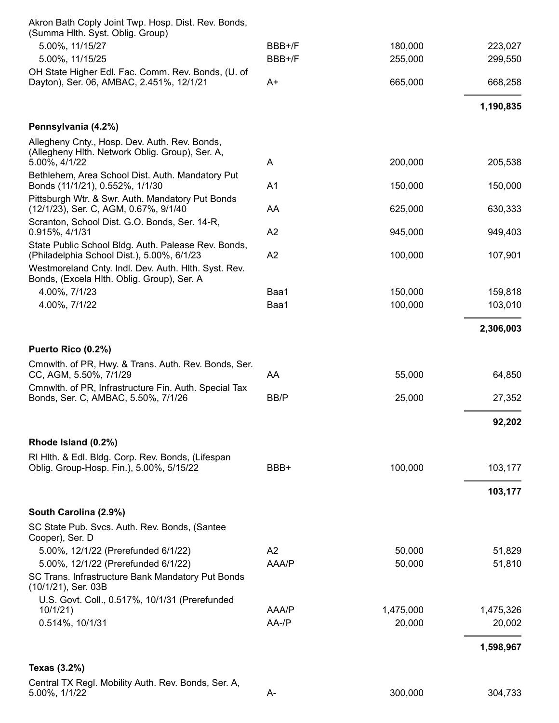| Akron Bath Coply Joint Twp. Hosp. Dist. Rev. Bonds,<br>(Summa Hlth. Syst. Oblig. Group)                           |                      |                     |                     |
|-------------------------------------------------------------------------------------------------------------------|----------------------|---------------------|---------------------|
| 5.00%, 11/15/27                                                                                                   | BBB+/F               | 180,000             | 223,027             |
| 5.00%, 11/15/25                                                                                                   | BBB+/F               | 255,000             | 299,550             |
| OH State Higher Edl. Fac. Comm. Rev. Bonds, (U. of                                                                |                      |                     |                     |
| Dayton), Ser. 06, AMBAC, 2.451%, 12/1/21                                                                          | A+                   | 665,000             | 668,258             |
|                                                                                                                   |                      |                     | 1,190,835           |
| Pennsylvania (4.2%)                                                                                               |                      |                     |                     |
| Allegheny Cnty., Hosp. Dev. Auth. Rev. Bonds,<br>(Allegheny Hith. Network Oblig. Group), Ser. A,<br>5.00%, 4/1/22 | A                    | 200,000             | 205,538             |
| Bethlehem, Area School Dist. Auth. Mandatory Put<br>Bonds (11/1/21), 0.552%, 1/1/30                               | A <sub>1</sub>       | 150,000             | 150,000             |
| Pittsburgh Wtr. & Swr. Auth. Mandatory Put Bonds<br>(12/1/23), Ser. C, AGM, 0.67%, 9/1/40                         | AA                   | 625,000             | 630,333             |
| Scranton, School Dist. G.O. Bonds, Ser. 14-R,<br>0.915%, 4/1/31                                                   | A2                   | 945,000             | 949,403             |
| State Public School Bldg. Auth. Palease Rev. Bonds,<br>(Philadelphia School Dist.), 5.00%, 6/1/23                 | A2                   | 100,000             | 107,901             |
| Westmoreland Cnty. Indl. Dev. Auth. Hith. Syst. Rev.<br>Bonds, (Excela Hlth. Oblig. Group), Ser. A                |                      |                     |                     |
| 4.00%, 7/1/23                                                                                                     | Baa1                 | 150,000             | 159,818             |
| 4.00%, 7/1/22                                                                                                     | Baa1                 | 100,000             | 103,010             |
|                                                                                                                   |                      |                     | 2,306,003           |
| Puerto Rico (0.2%)                                                                                                |                      |                     |                     |
| Cmnwlth. of PR, Hwy. & Trans. Auth. Rev. Bonds, Ser.<br>CC, AGM, 5.50%, 7/1/29                                    | AA                   | 55,000              | 64,850              |
| Cmnwlth. of PR, Infrastructure Fin. Auth. Special Tax                                                             |                      |                     |                     |
| Bonds, Ser. C, AMBAC, 5.50%, 7/1/26                                                                               | BB/P                 | 25,000              | 27,352              |
|                                                                                                                   |                      |                     | 92,202              |
| Rhode Island (0.2%)                                                                                               |                      |                     |                     |
| RI Hith. & Edl. Bidg. Corp. Rev. Bonds, (Lifespan<br>Oblig. Group-Hosp. Fin.), 5.00%, 5/15/22                     | BBB+                 | 100,000             | 103,177             |
|                                                                                                                   |                      |                     | 103,177             |
| South Carolina (2.9%)                                                                                             |                      |                     |                     |
| SC State Pub. Svcs. Auth. Rev. Bonds, (Santee<br>Cooper), Ser. D                                                  |                      |                     |                     |
| 5.00%, 12/1/22 (Prerefunded 6/1/22)                                                                               | A2                   | 50,000              | 51,829              |
| 5.00%, 12/1/22 (Prerefunded 6/1/22)                                                                               | AAA/P                | 50,000              | 51,810              |
| SC Trans. Infrastructure Bank Mandatory Put Bonds<br>(10/1/21), Ser. 03B                                          |                      |                     |                     |
| U.S. Govt. Coll., 0.517%, 10/1/31 (Prerefunded                                                                    |                      |                     |                     |
| 10/1/21<br>0.514%, 10/1/31                                                                                        | AAA/P<br>$AA$ -/ $P$ | 1,475,000<br>20,000 | 1,475,326<br>20,002 |
|                                                                                                                   |                      |                     |                     |
|                                                                                                                   |                      |                     | 1,598,967           |
| Texas (3.2%)                                                                                                      |                      |                     |                     |
| Central TX Regl. Mobility Auth. Rev. Bonds, Ser. A,<br>5.00%, 1/1/22                                              | A-                   | 300,000             | 304,733             |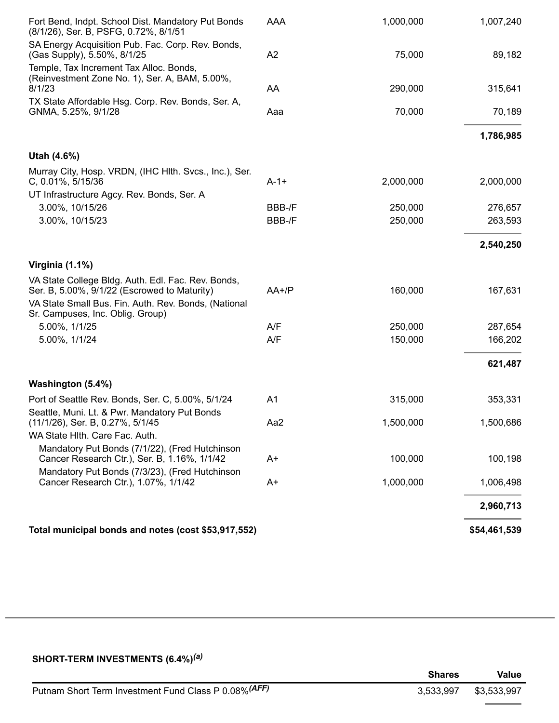| Fort Bend, Indpt. School Dist. Mandatory Put Bonds<br>(8/1/26), Ser. B, PSFG, 0.72%, 8/1/51                                                                                                    | AAA            | 1,000,000 | 1,007,240    |
|------------------------------------------------------------------------------------------------------------------------------------------------------------------------------------------------|----------------|-----------|--------------|
| SA Energy Acquisition Pub. Fac. Corp. Rev. Bonds,<br>(Gas Supply), 5.50%, 8/1/25                                                                                                               | A2             | 75,000    | 89,182       |
| Temple, Tax Increment Tax Alloc. Bonds,<br>(Reinvestment Zone No. 1), Ser. A, BAM, 5.00%,<br>8/1/23                                                                                            | AA             | 290,000   | 315,641      |
| TX State Affordable Hsg. Corp. Rev. Bonds, Ser. A,                                                                                                                                             |                |           |              |
| GNMA, 5.25%, 9/1/28                                                                                                                                                                            | Aaa            | 70,000    | 70,189       |
|                                                                                                                                                                                                |                |           | 1,786,985    |
| Utah (4.6%)                                                                                                                                                                                    |                |           |              |
| Murray City, Hosp. VRDN, (IHC HIth. Svcs., Inc.), Ser.                                                                                                                                         |                |           |              |
| C, 0.01%, 5/15/36                                                                                                                                                                              | $A-1+$         | 2,000,000 | 2,000,000    |
| UT Infrastructure Agcy. Rev. Bonds, Ser. A                                                                                                                                                     |                |           |              |
| 3.00%, 10/15/26                                                                                                                                                                                | BBB-/F         | 250,000   | 276,657      |
| 3.00%, 10/15/23                                                                                                                                                                                | BBB-/F         | 250,000   | 263,593      |
|                                                                                                                                                                                                |                |           | 2,540,250    |
| Virginia (1.1%)                                                                                                                                                                                |                |           |              |
| VA State College Bldg. Auth. Edl. Fac. Rev. Bonds,<br>Ser. B, 5.00%, 9/1/22 (Escrowed to Maturity)<br>VA State Small Bus. Fin. Auth. Rev. Bonds, (National<br>Sr. Campuses, Inc. Oblig. Group) | $AA+$ / $P$    | 160,000   | 167,631      |
| 5.00%, 1/1/25                                                                                                                                                                                  | A/F            | 250,000   | 287,654      |
| 5.00%, 1/1/24                                                                                                                                                                                  | A/F            | 150,000   | 166,202      |
|                                                                                                                                                                                                |                |           | 621,487      |
| Washington (5.4%)                                                                                                                                                                              |                |           |              |
| Port of Seattle Rev. Bonds, Ser. C, 5.00%, 5/1/24                                                                                                                                              | A <sub>1</sub> | 315,000   | 353,331      |
| Seattle, Muni. Lt. & Pwr. Mandatory Put Bonds<br>(11/1/26), Ser. B, 0.27%, 5/1/45<br>WA State Hlth. Care Fac. Auth.                                                                            | Aa2            | 1,500,000 | 1,500,686    |
| Mandatory Put Bonds (7/1/22), (Fred Hutchinson<br>Cancer Research Ctr.), Ser. B, 1.16%, 1/1/42                                                                                                 | A+             | 100,000   | 100,198      |
| Mandatory Put Bonds (7/3/23), (Fred Hutchinson<br>Cancer Research Ctr.), 1.07%, 1/1/42                                                                                                         | A+             | 1,000,000 | 1,006,498    |
|                                                                                                                                                                                                |                |           | 2,960,713    |
|                                                                                                                                                                                                |                |           |              |
| Total municipal bonds and notes (cost \$53,917,552)                                                                                                                                            |                |           | \$54,461,539 |

| SHORT-TERM INVESTMENTS (6.4%) <sup>(a)</sup>          |               |             |
|-------------------------------------------------------|---------------|-------------|
|                                                       | <b>Shares</b> | Value       |
| Putnam Short Term Investment Fund Class P 0.08% (AFF) | 3.533.997     | \$3,533,997 |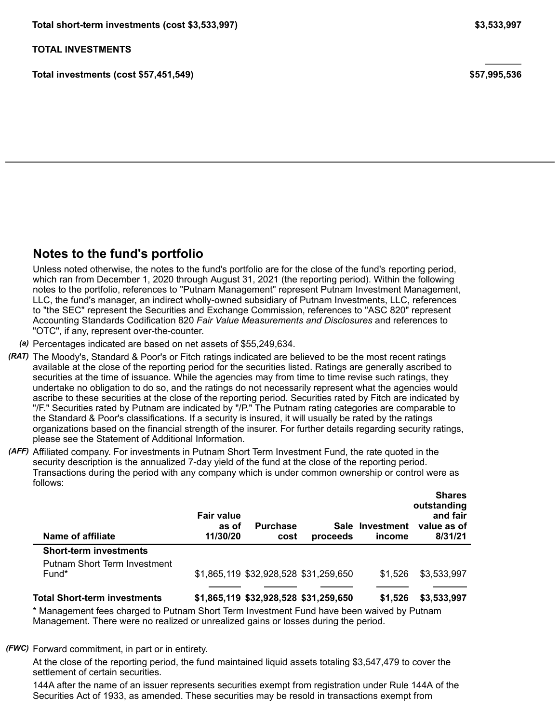**Total investments (cost \$57,451,549) \$57,995,536**

### **Notes to the fund's portfolio**

Unless noted otherwise, the notes to the fund's portfolio are for the close of the fund's reporting period, which ran from December 1, 2020 through August 31, 2021 (the reporting period). Within the following notes to the portfolio, references to "Putnam Management" represent Putnam Investment Management, LLC, the fund's manager, an indirect wholly-owned subsidiary of Putnam Investments, LLC, references to "the SEC" represent the Securities and Exchange Commission, references to "ASC 820" represent Accounting Standards Codification 820 *Fair Value Measurements and Disclosures* and references to "OTC", if any, represent over-the-counter.

*(a)* Percentages indicated are based on net assets of \$55,249,634.

- *(RAT)* The Moody's, Standard & Poor's or Fitch ratings indicated are believed to be the most recent ratings available at the close of the reporting period for the securities listed. Ratings are generally ascribed to securities at the time of issuance. While the agencies may from time to time revise such ratings, they undertake no obligation to do so, and the ratings do not necessarily represent what the agencies would ascribe to these securities at the close of the reporting period. Securities rated by Fitch are indicated by "/F." Securities rated by Putnam are indicated by "/P." The Putnam rating categories are comparable to the Standard & Poor's classifications. If a security is insured, it will usually be rated by the ratings organizations based on the financial strength of the insurer. For further details regarding security ratings, please see the Statement of Additional Information.
- *(AFF)* Affiliated company. For investments in Putnam Short Term Investment Fund, the rate quoted in the security description is the annualized 7-day yield of the fund at the close of the reporting period. Transactions during the period with any company which is under common ownership or control were as follows:

| Name of affiliate             | <b>Fair value</b><br>as of<br>11/30/20 | <b>Purchase</b><br>cost               | proceeds                              | Sale Investment<br>income | <b>Shares</b><br>outstanding<br>and fair<br>value as of<br>8/31/21 |
|-------------------------------|----------------------------------------|---------------------------------------|---------------------------------------|---------------------------|--------------------------------------------------------------------|
| <b>Short-term investments</b> |                                        |                                       |                                       |                           |                                                                    |
| Putnam Short Term Investment  |                                        |                                       |                                       |                           |                                                                    |
| Fund*                         |                                        |                                       | \$1,865,119 \$32,928,528 \$31,259,650 | \$1.526                   | \$3,533,997                                                        |
|                               |                                        |                                       |                                       |                           |                                                                    |
| Total Short-term investments  |                                        | \$1,865,119 \$32,928,528 \$31,259,650 |                                       | \$1,526                   | \$3,533,997                                                        |

\* Management fees charged to Putnam Short Term Investment Fund have been waived by Putnam Management. There were no realized or unrealized gains or losses during the period.

*(FWC)* Forward commitment, in part or in entirety.

At the close of the reporting period, the fund maintained liquid assets totaling \$3,547,479 to cover the settlement of certain securities.

144A after the name of an issuer represents securities exempt from registration under Rule 144A of the Securities Act of 1933, as amended. These securities may be resold in transactions exempt from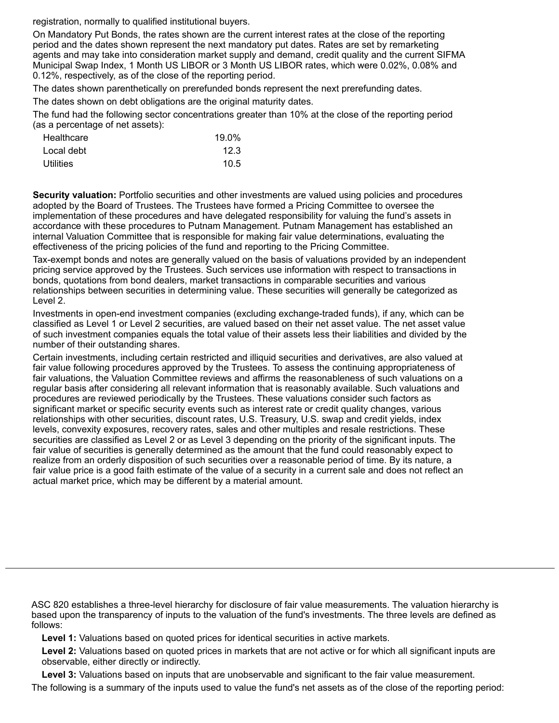registration, normally to qualified institutional buyers.

On Mandatory Put Bonds, the rates shown are the current interest rates at the close of the reporting period and the dates shown represent the next mandatory put dates. Rates are set by remarketing agents and may take into consideration market supply and demand, credit quality and the current SIFMA Municipal Swap Index, 1 Month US LIBOR or 3 Month US LIBOR rates, which were 0.02%, 0.08% and 0.12%, respectively, as of the close of the reporting period.

The dates shown parenthetically on prerefunded bonds represent the next prerefunding dates.

The dates shown on debt obligations are the original maturity dates.

The fund had the following sector concentrations greater than 10% at the close of the reporting period (as a percentage of net assets):

| Healthcare | 19.0% |
|------------|-------|
| Local debt | 12.3  |
| Utilities  | 10.5  |

**Security valuation:** Portfolio securities and other investments are valued using policies and procedures adopted by the Board of Trustees. The Trustees have formed a Pricing Committee to oversee the implementation of these procedures and have delegated responsibility for valuing the fund's assets in accordance with these procedures to Putnam Management. Putnam Management has established an internal Valuation Committee that is responsible for making fair value determinations, evaluating the effectiveness of the pricing policies of the fund and reporting to the Pricing Committee.

Tax-exempt bonds and notes are generally valued on the basis of valuations provided by an independent pricing service approved by the Trustees. Such services use information with respect to transactions in bonds, quotations from bond dealers, market transactions in comparable securities and various relationships between securities in determining value. These securities will generally be categorized as Level 2.

Investments in open-end investment companies (excluding exchange-traded funds), if any, which can be classified as Level 1 or Level 2 securities, are valued based on their net asset value. The net asset value of such investment companies equals the total value of their assets less their liabilities and divided by the number of their outstanding shares.

Certain investments, including certain restricted and illiquid securities and derivatives, are also valued at fair value following procedures approved by the Trustees. To assess the continuing appropriateness of fair valuations, the Valuation Committee reviews and affirms the reasonableness of such valuations on a regular basis after considering all relevant information that is reasonably available. Such valuations and procedures are reviewed periodically by the Trustees. These valuations consider such factors as significant market or specific security events such as interest rate or credit quality changes, various relationships with other securities, discount rates, U.S. Treasury, U.S. swap and credit yields, index levels, convexity exposures, recovery rates, sales and other multiples and resale restrictions. These securities are classified as Level 2 or as Level 3 depending on the priority of the significant inputs. The fair value of securities is generally determined as the amount that the fund could reasonably expect to realize from an orderly disposition of such securities over a reasonable period of time. By its nature, a fair value price is a good faith estimate of the value of a security in a current sale and does not reflect an actual market price, which may be different by a material amount.

ASC 820 establishes a three-level hierarchy for disclosure of fair value measurements. The valuation hierarchy is based upon the transparency of inputs to the valuation of the fund's investments. The three levels are defined as follows:

**Level 1:** Valuations based on quoted prices for identical securities in active markets.

**Level 2:** Valuations based on quoted prices in markets that are not active or for which all significant inputs are observable, either directly or indirectly.

**Level 3:** Valuations based on inputs that are unobservable and significant to the fair value measurement. The following is a summary of the inputs used to value the fund's net assets as of the close of the reporting period: